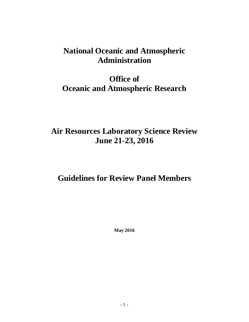## **National Oceanic and Atmospheric Administration**

# **Office of Oceanic and Atmospheric Research**

# **Air Resources Laboratory Science Review June 21-23, 2016**

## **Guidelines for Review Panel Members**

**May 2016**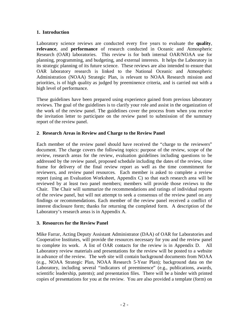#### **1. Introduction**

Laboratory science reviews are conducted every five years to evaluate the **quality**, **relevance**, and **performance** of research conducted in Oceanic and Atmospheric Research (OAR) laboratories. This review is for both internal OAR/NOAA use for planning, programming, and budgeting, and external interests. It helps the Laboratory in its strategic planning of its future science. These reviews are also intended to ensure that OAR laboratory research is linked to the National Oceanic and Atmospheric Administration (NOAA) Strategic Plan, is relevant to NOAA Research mission and priorities, is of high quality as judged by preeminence criteria, and is carried out with a high level of performance.

These guidelines have been prepared using experience gained from previous laboratory reviews. The goal of the guidelines is to clarify your role and assist in the organization of the work of the review panel. The guidelines cover the process from when you receive the invitation letter to participate on the review panel to submission of the summary report of the review panel.

### **2**. **Research Areas in Review and Charge to the Review Panel**

Each member of the review panel should have received the "charge to the reviewers" document. The charge covers the following topics: purpose of the review, scope of the review, research areas for the review, evaluation guidelines including questions to be addressed by the review panel, proposed schedule including the dates of the review, time frame for delivery of the final review report as well as the time commitment for reviewers, and review panel resources. Each member is asked to complete a review report (using an Evaluation Worksheet, Appendix C) so that each research area will be reviewed by at least two panel members; members will provide those reviews to the Chair. The Chair will summarize the recommendations and ratings of individual reports of the review panel, but will not attempt to seek a consensus of the review panel on any findings or recommendations. Each member of the review panel received a conflict of interest disclosure form; thanks for returning the completed form. A description of the Laboratory's research areas is in Appendix A.

#### **3. Resources for the Review Panel**

Mike Farrar, Acting Deputy Assistant Administrator (DAA) of OAR for Laboratories and Cooperative Institutes, will provide the resources necessary for you and the review panel to complete its work. A list of OAR contacts for the review is in Appendix D. All Laboratory review materials and presentations for the review will be posted to a website in advance of the review. The web site will contain background documents from NOAA (e.g., NOAA Strategic Plan, NOAA Research 5-Year Plan); background data on the Laboratory, including several "indicators of preeminence" (e.g., publications, awards, scientific leadership, patents); and presentation files. There will be a binder with printed copies of presentations for you at the review. You are also provided a template (form) on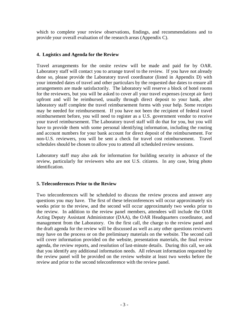which to complete your review observations, findings, and recommendations and to provide your overall evaluation of the research areas (Appendix C).

#### **4. Logistics and Agenda for the Review**

Travel arrangements for the onsite review will be made and paid for by OAR. Laboratory staff will contact you to arrange travel to the review. If you have not already done so, please provide the Laboratory travel coordinator (listed in Appendix D) with your intended dates of travel and other particulars by the requested due dates to ensure all arrangements are made satisfactorily. The laboratory will reserve a block of hotel rooms for the reviewers, but you will be asked to cover all your travel expenses (except air fare) upfront and will be reimbursed, usually through direct deposit to your bank, after laboratory staff complete the travel reimbursement forms with your help. Some receipts may be needed for reimbursement. If you have not been the recipient of federal travel reimbursement before, you will need to register as a U.S. government vendor to receive your travel reimbursement. The Laboratory travel staff will do that for you, but you will have to provide them with some personal identifying information, including the routing and account numbers for your bank account for direct deposit of the reimbursement. For non-U.S. reviewers, you will be sent a check for travel cost reimbursement. Travel schedules should be chosen to allow you to attend all scheduled review sessions.

Laboratory staff may also ask for information for building security in advance of the review, particularly for reviewers who are not U.S. citizens. In any case, bring photo identification.

#### **5. Teleconferences Prior to the Review**

Two teleconferences will be scheduled to discuss the review process and answer any questions you may have. The first of these teleconferences will occur approximately six weeks prior to the review, and the second will occur approximately two weeks prior to the review. In addition to the review panel members, attendees will include the OAR Acting Deputy Assistant Administrator (DAA), the OAR Headquarters coordinator, and management from the Laboratory. On the first call, the charge to the review panel and the draft agenda for the review will be discussed as well as any other questions reviewers may have on the process or on the preliminary materials on the website. The second call will cover information provided on the website, presentation materials, the final review agenda, the review reports, and resolution of last-minute details. During this call, we ask that you identify any additional information needs. All relevant information requested by the review panel will be provided on the review website at least two weeks before the review and prior to the second teleconference with the review panel.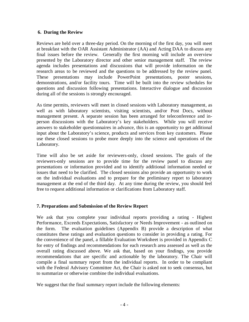#### **6. During the Review**

Reviews are held over a three-day period. On the morning of the first day, you will meet at breakfast with the OAR Assistant Administrator (AA) and Acting DAA to discuss any final issues before the review. Generally the first morning will include an overview presented by the Laboratory director and other senior management staff. The review agenda includes presentations and discussions that will provide information on the research areas to be reviewed and the questions to be addressed by the review panel. These presentations may include PowerPoint presentations, poster sessions, demonstrations, and/or facility tours. Time will be built into the review schedules for questions and discussion following presentations. Interactive dialogue and discussion during all of the sessions is strongly encouraged.

As time permits, reviewers will meet in closed sessions with Laboratory management, as well as with laboratory scientists, visiting scientists, and/or Post Docs, without management present. A separate session has been arranged for teleconference and inperson discussions with the Laboratory's key stakeholders. While you will receive answers to stakeholder questionnaires in advance, this is an opportunity to get additional input about the Laboratory's science, products and services from key customers. Please use these closed sessions to probe more deeply into the science and operations of the Laboratory.

Time will also be set aside for reviewers-only, closed sessions. The goals of the reviewers-only sessions are to provide time for the review panel to discuss any presentations or information provided and to identify additional information needed or issues that need to be clarified. The closed sessions also provide an opportunity to work on the individual evaluations and to prepare for the preliminary report to laboratory management at the end of the third day. At any time during the review, you should feel free to request additional information or clarifications from Laboratory staff.

#### **7. Preparations and Submission of the Review Report**

We ask that you complete your individual reports providing a rating - Highest Performance, Exceeds Expectations, Satisfactory or Needs Improvement - as outlined on the form. The evaluation guidelines (Appendix B) provide a description of what constitutes these ratings and evaluation questions to consider in providing a rating. For the convenience of the panel, a fillable Evaluation Worksheet is provided in Appendix C for entry of findings and recommendations for each research area assessed as well as the overall rating discussed above. We ask that, based on your findings, you provide recommendations that are specific and actionable by the laboratory. The Chair will compile a final summary report from the individual reports. In order to be compliant with the Federal Advisory Committee Act, the Chair is asked not to seek consensus, but to summarize or otherwise combine the individual evaluations.

We suggest that the final summary report include the following elements: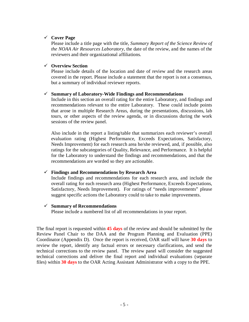#### **Cover Page**

Please include a title page with the title, *Summary Report of the Science Review of the NOAA Air Resources Laboratory*, the date of the review, and the names of the reviewers and their organizational affiliations.

#### **Overview Section**

Please include details of the location and date of review and the research areas covered in the report. Please include a statement that the report is not a consensus, but a summary of individual reviewer reports.

#### **Summary of Laboratory-Wide Findings and Recommendations**

Include in this section an overall rating for the entire Laboratory, and findings and recommendations relevant to the entire Laboratory. These could include points that arose in multiple Research Areas, during the presentations, discussions, lab tours, or other aspects of the review agenda, or in discussions during the work sessions of the review panel.

Also include in the report a listing/table that summarizes each reviewer's overall evaluation rating (Highest Performance, Exceeds Expectations, Satisfactory, Needs Improvement) for each research area he/she reviewed, and, if possible, also ratings for the subcategories of Quality, Relevance, and Performance. It is helpful for the Laboratory to understand the findings and recommendations, and that the recommendations are worded so they are actionable.

#### **Findings and Recommendations by Research Area**

Include findings and recommendations for each research area, and include the overall rating for each research area (Highest Performance, Exceeds Expectations, Satisfactory, Needs Improvement). For ratings of "needs improvements" please suggest specific actions the Laboratory could to take to make improvements.

#### **Summary of Recommendations**

Please include a numbered list of all recommendations in your report.

The final report is requested within **45 days** of the review and should be submitted by the Review Panel Chair to the DAA and the Program Planning and Evaluation (PPE) Coordinator (Appendix D). Once the report is received, OAR staff will have **30 days** to review the report, identify any factual errors or necessary clarifications, and send the technical corrections to the review panel. The review panel will consider the suggested technical corrections and deliver the final report and individual evaluations (separate files) within **30 days** to the OAR Acting Assistant Administrator with a copy to the PPE.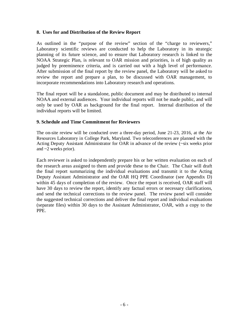#### **8. Uses for and Distribution of the Review Report**

As outlined in the "purpose of the review" section of the "charge to reviewers," Laboratory scientific reviews are conducted to help the Laboratory in its strategic planning of its future science, and to ensure that Laboratory research is linked to the NOAA Strategic Plan, is relevant to OAR mission and priorities, is of high quality as judged by preeminence criteria, and is carried out with a high level of performance. After submission of the final report by the review panel, the Laboratory will be asked to review the report and prepare a plan, to be discussed with OAR management, to incorporate recommendations into Laboratory research and operations.

The final report will be a standalone, public document and may be distributed to internal NOAA and external audiences. Your individual reports will not be made public, and will only be used by OAR as background for the final report. Internal distribution of the individual reports will be limited.

#### **9. Schedule and Time Commitment for Reviewers**

The on-site review will be conducted over a three-day period, June 21-23, 2016, at the Air Resources Laboratory in College Park, Maryland. Two teleconferences are planned with the Acting Deputy Assistant Administrator for OAR in advance of the review (~six weeks prior and ~2 weeks prior).

Each reviewer is asked to independently prepare his or her written evaluation on each of the research areas assigned to them and provide these to the Chair. The Chair will draft the final report summarizing the individual evaluations and transmit it to the Acting Deputy Assistant Administrator and the OAR HQ PPE Coordinator (see Appendix D) within 45 days of completion of the review. Once the report is received, OAR staff will have 30 days to review the report, identify any factual errors or necessary clarifications, and send the technical corrections to the review panel. The review panel will consider the suggested technical corrections and deliver the final report and individual evaluations (separate files) within 30 days to the Assistant Administrator, OAR, with a copy to the PPE.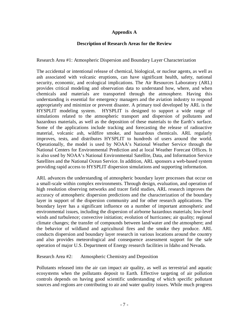#### **Appendix A**

#### **Description of Research Areas for the Review**

Research Area #1: Atmospheric Dispersion and Boundary Layer Characterization

The accidental or intentional release of chemical, biological, or nuclear agents, as well as ash associated with volcanic eruptions, can have significant health, safety, national security, economic, and ecological implications. The Air Resources Laboratory (ARL) provides critical modeling and observation data to understand how, where, and when chemicals and materials are transported through the atmosphere. Having this understanding is essential for emergency managers and the aviation industry to respond appropriately and minimize or prevent disaster. A primary tool developed by ARL is the HYSPLIT modeling system. HYSPLIT is designed to support a wide range of simulations related to the atmospheric transport and dispersion of pollutants and hazardous materials, as well as the deposition of these materials to the Earth's surface. Some of the applications include tracking and forecasting the release of radioactive material, volcanic ash, wildfire smoke, and hazardous chemicals. ARL regularly improves, tests, and distributes HYSPLIT to hundreds of users around the world. Operationally, the model is used by NOAA's National Weather Service through the National Centers for Environmental Prediction and at local Weather Forecast Offices. It is also used by NOAA's National Environmental Satellite, Data, and Information Service Satellites and the National Ocean Service. In addition, ARL sponsors a web-based system providing rapid access to HYSPLIT dispersion simulations and supporting information.

ARL advances the understanding of atmospheric boundary layer processes that occur on a small-scale within complex environments. Through design, evaluation, and operation of high resolution observing networks and tracer field studies, ARL research improves the accuracy of atmospheric dispersion predictions and the characterization of the boundary layer in support of the dispersion community and for other research applications. The boundary layer has a significant influence on a number of important atmospheric and environmental issues, including the dispersion of airborne hazardous materials; low-level winds and turbulence; convective initiation; evolution of hurricanes; air quality; regional climate changes; the transfer of compounds between land/water and the atmosphere; and the behavior of wildland and agricultural fires and the smoke they produce. ARL conducts dispersion and boundary layer research in various locations around the country and also provides meteorological and consequence assessment support for the safe operation of major U.S. Department of Energy research facilities in Idaho and Nevada.

Research Area #2: Atmospheric Chemistry and Deposition

Pollutants released into the air can impact air quality, as well as terrestrial and aquatic ecosystems when the pollutants deposit to Earth. Effective targeting of air pollution controls depends on having good scientific understanding of which specific pollutant sources and regions are contributing to air and water quality issues. While much progress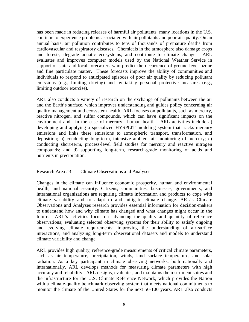has been made in reducing releases of harmful air pollutants, many locations in the U.S. continue to experience problems associated with air pollutants and poor air quality. On an annual basis, air pollution contributes to tens of thousands of premature deaths from cardiovascular and respiratory diseases. Chemicals in the atmosphere also damage crops and forests, degrade aquatic ecosystems, and contribute to climate change. ARL evaluates and improves computer models used by the National Weather Service in support of state and local forecasters who predict the occurrence of ground-level ozone and fine particulate matter. These forecasts improve the ability of communities and individuals to respond to anticipated episodes of poor air quality by reducing pollutant emissions (e.g., limiting driving) and by taking personal protective measures (e.g., limiting outdoor exercise).

ARL also conducts a variety of research on the exchange of pollutants between the air and the Earth's surface, which improves understanding and guides policy concerning air quality management and ecosystem health. ARL focuses on pollutants, such as mercury, reactive nitrogen, and sulfur compounds, which can have significant impacts on the environment and—in the case of mercury—human health. ARL activities include a) developing and applying a specialized HYSPLIT modeling system that tracks mercury emissions and links these emissions to atmospheric transport, transformation, and deposition; b) conducting long-term, intensive ambient air monitoring of mercury; c) conducting short-term, process-level field studies for mercury and reactive nitrogen compounds; and d) supporting long-term, research-grade monitoring of acids and nutrients in precipitation.

#### Research Area #3: Climate Observations and Analyses

Changes in the climate can influence economic prosperity, human and environmental health, and national security. Citizens, communities, businesses, governments, and international organizations are requiring climate information and products to cope with climate variability and to adapt to and mitigate climate change. ARL's Climate Observations and Analyses research provides essential information for decision-makers to understand how and why climate has changed and what changes might occur in the future. ARL's activities focus on advancing the quality and quantity of reference observations; evaluating selected observing systems for their ability to satisfy ongoing and evolving climate requirements; improving the understanding of air-surface interactions; and analyzing long-term observational datasets and models to understand climate variability and change.

ARL provides high quality, reference-grade measurements of critical climate parameters, such as air temperature, precipitation, winds, land surface temperature, and solar radiation. As a key participant in climate observing networks, both nationally and internationally, ARL develops methods for measuring climate parameters with high accuracy and reliability. ARL designs, evaluates, and maintains the instrument suites and the infrastructure for the U.S. Climate Reference Network, which provides the Nation with a climate-quality benchmark observing system that meets national commitments to monitor the climate of the United States for the next 50-100 years. ARL also conducts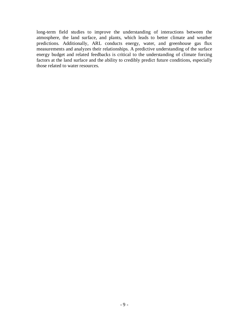long-term field studies to improve the understanding of interactions between the atmosphere, the land surface, and plants, which leads to better climate and weather predictions. Additionally, ARL conducts energy, water, and greenhouse gas flux measurements and analyzes their relationships. A predictive understanding of the surface energy budget and related feedbacks is critical to the understanding of climate forcing factors at the land surface and the ability to credibly predict future conditions, especially those related to water resources.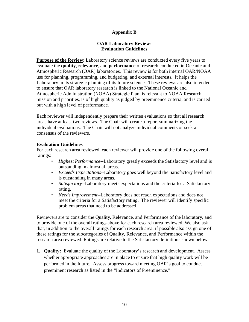#### **Appendix B**

#### **OAR Laboratory Reviews Evaluation Guidelines**

**Purpose of the Review:** Laboratory science reviews are conducted every five years to evaluate the **quality**, **relevance**, and **performance** of research conducted in Oceanic and Atmospheric Research (OAR) laboratories. This review is for both internal OAR/NOAA use for planning, programming, and budgeting, and external interests. It helps the Laboratory in its strategic planning of its future science. These reviews are also intended to ensure that OAR laboratory research is linked to the National Oceanic and Atmospheric Administration (NOAA) Strategic Plan, is relevant to NOAA Research mission and priorities, is of high quality as judged by preeminence criteria, and is carried out with a high level of performance.

Each reviewer will independently prepare their written evaluations so that all research areas have at least two reviews. The Chair will create a report summarizing the individual evaluations. The Chair will not analyze individual comments or seek a consensus of the reviewers.

#### **Evaluation Guidelines**

.

For each research area reviewed, each reviewer will provide one of the following overall ratings:

- *Highest Performance--*Laboratory greatly exceeds the Satisfactory level and is outstanding in almost all areas.
- *Exceeds Expectations*--Laboratory goes well beyond the Satisfactory level and is outstanding in many areas.
- *Satisfactory*--Laboratory meets expectations and the criteria for a Satisfactory rating.
- *Needs Improvement*--Laboratory does not reach expectations and does not meet the criteria for a Satisfactory rating. The reviewer will identify specific problem areas that need to be addressed.

Reviewers are to consider the Quality, Relevance, and Performance of the laboratory, and to provide one of the overall ratings above for each research area reviewed. We also ask that, in addition to the overall ratings for each research area, if possible also assign one of these ratings for the subcategories of Quality, Relevance, and Performance within the research area reviewed. Ratings are relative to the Satisfactory definitions shown below.

**1. Quality:** Evaluate the quality of the Laboratory's research and development. Assess whether appropriate approaches are in place to ensure that high quality work will be performed in the future. Assess progress toward meeting OAR's goal to conduct preeminent research as listed in the "Indicators of Preeminence."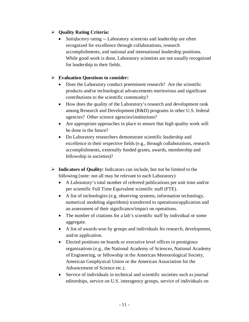## **Quality Rating Criteria:**

• *Satisfactory* rating -- Laboratory scientists and leadership are often recognized for excellence through collaborations, research accomplishments, and national and international leadership positions. While good work is done, Laboratory scientists are not usually recognized for leadership in their fields.

- Does the Laboratory conduct preeminent research? Are the scientific products and/or technological advancements meritorious and significant contributions to the scientific community?
- How does the quality of the Laboratory's research and development rank among Research and Development (R&D) programs in other U.S. federal agencies? Other science agencies/institutions?
- Are appropriate approaches in place to ensure that high quality work will be done in the future?
- Do Laboratory researchers demonstrate scientific leadership and excellence in their respective fields (e.g., through collaborations, research accomplishments, externally funded grants, awards, membership and fellowship in societies)?
- **Indicators of Quality:** Indicators can include, but not be limited to the following (note: not all may be relevant to each Laboratory)
	- A Laboratory's total number of refereed publications per unit time and/or per scientific Full Time Equivalent scientific staff (FTE).
	- A list of technologies (e.g. observing systems, information technology, numerical modeling algorithms) transferred to operations/application and an assessment of their significance/impact on operations.
	- The number of citations for a lab's scientific staff by individual or some aggregate.
	- A list of awards won by groups and individuals for research, development, and/or application.
	- Elected positions on boards or executive level offices in prestigious organizations (e.g., the National Academy of Sciences, National Academy of Engineering, or fellowship in the American Meteorological Society, American Geophysical Union or the American Association for the Advancement of Science etc.).
	- Service of individuals in technical and scientific societies such as journal editorships, service on U.S. interagency groups, service of individuals on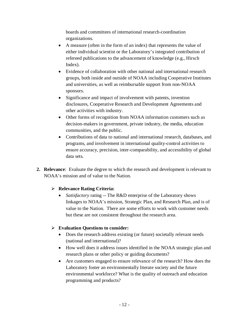boards and committees of international research-coordination organizations.

- A measure (often in the form of an index) that represents the value of either individual scientist or the Laboratory's integrated contribution of refereed publications to the advancement of knowledge (e.g., Hirsch Index).
- Evidence of collaboration with other national and international research groups, both inside and outside of NOAA including Cooperative Institutes and universities, as well as reimbursable support from non-NOAA sponsors.
- Significance and impact of involvement with patents, invention disclosures, Cooperative Research and Development Agreements and other activities with industry.
- Other forms of recognition from NOAA information customers such as decision-makers in government, private industry, the media, education communities, and the public.
- Contributions of data to national and international research, databases, and programs, and involvement in international quality-control activities to ensure accuracy, precision, inter-comparability, and accessibility of global data sets.
- **2. Relevance**: Evaluate the degree to which the research and development is relevant to NOAA's mission and of value to the Nation.

## **Relevance Rating Criteria:**

• *Satisfactory* rating -- The R&D enterprise of the Laboratory shows linkages to NOAA's mission, Strategic Plan, and Research Plan, and is of value to the Nation. There are some efforts to work with customer needs but these are not consistent throughout the research area.

- Does the research address existing (or future) societally relevant needs (national and international)?
- How well does it address issues identified in the NOAA strategic plan and research plans or other policy or guiding documents?
- Are customers engaged to ensure relevance of the research? How does the Laboratory foster an environmentally literate society and the future environmental workforce? What is the quality of outreach and education programming and products?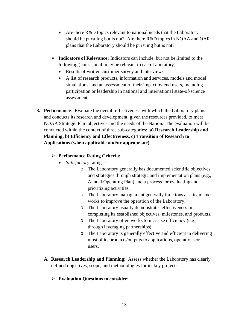- Are there R&D topics relevant to national needs that the Laboratory should be pursuing but is not? Are there R&D topics in NOAA and OAR plans that the Laboratory should be pursuing but is not?
- **Indicators of Relevance:** Indicators can include, but not be limited to the following (note: not all may be relevant to each Laboratory)
	- Results of written customer survey and interviews
	- A list of research products, information and services, models and model simulations, and an assessment of their impact by end users, including participation or leadership in national and international state-of-science assessments.
- **3. Performance**: Evaluate the overall effectiveness with which the Laboratory plans and conducts its research and development, given the resources provided, to meet NOAA Strategic Plan objectives and the needs of the Nation. The evaluation will be conducted within the context of three sub-categories: **a) Research Leadership and Planning, b) Efficiency and Effectiveness, c) Transition of Research to Applications (when applicable and/or appropriate)**.

## **Performance Rating Criteria:**

- *Satisfactory* rating
	- o The Laboratory generally has documented scientific objectives and strategies through strategic and implementation plans (e.g., Annual Operating Plan) and a process for evaluating and prioritizing activities.
	- o The Laboratory management generally functions as a team and works to improve the operation of the Laboratory.
	- o The Laboratory usually demonstrates effectiveness in completing its established objectives, milestones, and products.
	- o The Laboratory often works to increase efficiency (e.g., through leveraging partnerships).
	- o The Laboratory is generally effective and efficient in delivering most of its products/outputs to applications, operations or users.
- **A. Research Leadership and Planning**: Assess whether the Laboratory has clearly defined objectives, scope, and methodologies for its key projects.
	- **Evaluation Questions to consider:**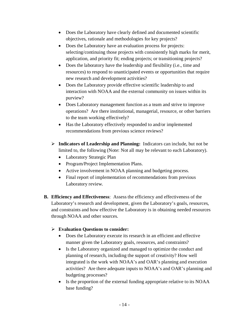- Does the Laboratory have clearly defined and documented scientific objectives, rationale and methodologies for key projects?
- Does the Laboratory have an evaluation process for projects: selecting/continuing those projects with consistently high marks for merit, application, and priority fit; ending projects; or transitioning projects?
- Does the laboratory have the leadership and flexibility (i.e., time and resources) to respond to unanticipated events or opportunities that require new research and development activities?
- Does the Laboratory provide effective scientific leadership to and interaction with NOAA and the external community on issues within its purview?
- Does Laboratory management function as a team and strive to improve operations? Are there institutional, managerial, resource, or other barriers to the team working effectively?
- Has the Laboratory effectively responded to and/or implemented recommendations from previous science reviews?
- **Indicators of Leadership and Planning:** Indicators can include, but not be limited to, the following (Note: Not all may be relevant to each Laboratory).
	- Laboratory Strategic Plan
	- Program/Project Implementation Plans.
	- Active involvement in NOAA planning and budgeting process.
	- Final report of implementation of recommendations from previous Laboratory review.
- **B. Efficiency and Effectiveness**: Assess the efficiency and effectiveness of the Laboratory's research and development, given the Laboratory's goals, resources, and constraints and how effective the Laboratory is in obtaining needed resources through NOAA and other sources.

- Does the Laboratory execute its research in an efficient and effective manner given the Laboratory goals, resources, and constraints?
- Is the Laboratory organized and managed to optimize the conduct and planning of research, including the support of creativity? How well integrated is the work with NOAA's and OAR's planning and execution activities? Are there adequate inputs to NOAA's and OAR's planning and budgeting processes?
- Is the proportion of the external funding appropriate relative to its NOAA base funding?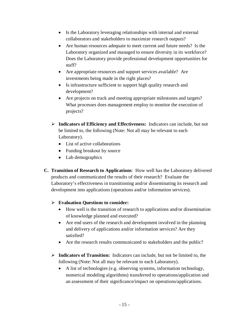- Is the Laboratory leveraging relationships with internal and external collaborators and stakeholders to maximize research outputs?
- Are human resources adequate to meet current and future needs? Is the Laboratory organized and managed to ensure diversity in its workforce? Does the Laboratory provide professional development opportunities for staff?
- Are appropriate resources and support services available? Are investments being made in the right places?
- Is infrastructure sufficient to support high quality research and development?
- Are projects on track and meeting appropriate milestones and targets? What processes does management employ to monitor the execution of projects?
- **Indicators of Efficiency and Effectiveness:** Indicators can include, but not be limited to, the following (Note: Not all may be relevant to each Laboratory).
	- List of active collaborations
	- Funding breakout by source
	- Lab demographics
- **C. Transition of Research to Applications**: How well has the Laboratory delivered products and communicated the results of their research? Evaluate the Laboratory's effectiveness in transitioning and/or disseminating its research and development into applications (operations and/or information services).

- How well is the transition of research to applications and/or dissemination of knowledge planned and executed?
- Are end users of the research and development involved in the planning and delivery of applications and/or information services? Are they satisfied?
- Are the research results communicated to stakeholders and the public?
- **Indicators of Transition:** Indicators can include, but not be limited to, the following (Note: Not all may be relevant to each Laboratory).
	- A list of technologies (e.g. observing systems, information technology, numerical modeling algorithms) transferred to operations/application and an assessment of their significance/impact on operations/applications.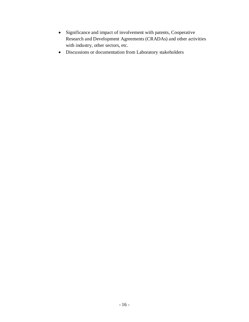- Significance and impact of involvement with patents, Cooperative Research and Development Agreements (CRADAs) and other activities with industry, other sectors, etc.
- Discussions or documentation from Laboratory stakeholders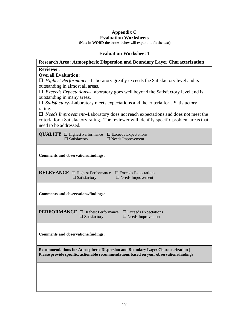#### **Appendix C Evaluation Worksheets (Note in WORD the boxes below will expand to fit the text)**

### **Evaluation Worksheet 1**

| Research Area: Atmospheric Dispersion and Boundary Layer Characterization                                                                                                                                             |
|-----------------------------------------------------------------------------------------------------------------------------------------------------------------------------------------------------------------------|
| <b>Reviewer:</b>                                                                                                                                                                                                      |
| <b>Overall Evaluation:</b>                                                                                                                                                                                            |
| $\Box$ Highest Performance--Laboratory greatly exceeds the Satisfactory level and is                                                                                                                                  |
| outstanding in almost all areas.                                                                                                                                                                                      |
| $\Box$ <i>Exceeds Expectations</i> --Laboratory goes well beyond the Satisfactory level and is<br>outstanding in many areas.                                                                                          |
| $\Box$ Satisfactory--Laboratory meets expectations and the criteria for a Satisfactory                                                                                                                                |
| rating.                                                                                                                                                                                                               |
| $\Box$ <i>Needs Improvement</i> --Laboratory does not reach expectations and does not meet the<br>criteria for a Satisfactory rating. The reviewer will identify specific problem areas that<br>need to be addressed. |
|                                                                                                                                                                                                                       |
| <b>QUALITY</b> $\Box$ Highest Performance<br>$\square$ Exceeds Expectations<br>$\Box$ Satisfactory<br>$\Box$ Needs Improvement                                                                                        |
|                                                                                                                                                                                                                       |
| <b>Comments and observations/findings:</b>                                                                                                                                                                            |
| <b>RELEVANCE</b> $\Box$ Highest Performance<br>$\square$ Exceeds Expectations                                                                                                                                         |
| $\Box$ Needs Improvement<br>$\Box$ Satisfactory                                                                                                                                                                       |
|                                                                                                                                                                                                                       |
| <b>Comments and observations/findings:</b>                                                                                                                                                                            |
|                                                                                                                                                                                                                       |
|                                                                                                                                                                                                                       |
| <b>PERFORMANCE</b> □ Highest Performance<br>$\square$ Exceeds Expectations<br>$\Box$ Satisfactory<br>$\Box$ Needs Improvement                                                                                         |
|                                                                                                                                                                                                                       |
| <b>Comments and observations/findings:</b>                                                                                                                                                                            |
| Recommendations for Atmospheric Dispersion and Boundary Layer Characterization  <br>Please provide specific, actionable recommendations based on your observations/findings                                           |
|                                                                                                                                                                                                                       |
|                                                                                                                                                                                                                       |
|                                                                                                                                                                                                                       |
|                                                                                                                                                                                                                       |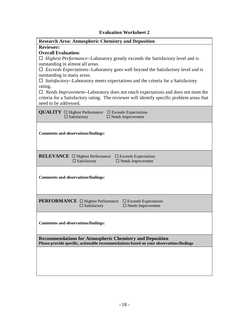## **Evaluation Worksheet 2**

| <b>Research Area: Atmospheric Chemistry and Deposition</b>                                                                                                                                                                                                                                                                                                                                                                                                                                                                                                                                                                               |
|------------------------------------------------------------------------------------------------------------------------------------------------------------------------------------------------------------------------------------------------------------------------------------------------------------------------------------------------------------------------------------------------------------------------------------------------------------------------------------------------------------------------------------------------------------------------------------------------------------------------------------------|
| <b>Reviewer:</b><br><b>Overall Evaluation:</b><br>$\Box$ Highest Performance--Laboratory greatly exceeds the Satisfactory level and is<br>outstanding in almost all areas.<br>$\Box$ <i>Exceeds Expectations</i> --Laboratory goes well beyond the Satisfactory level and is<br>outstanding in many areas.<br>$\Box$ Satisfactory--Laboratory meets expectations and the criteria for a Satisfactory<br>rating.<br>$\Box$ <i>Needs Improvement</i> --Laboratory does not reach expectations and does not meet the<br>criteria for a Satisfactory rating. The reviewer will identify specific problem areas that<br>need to be addressed. |
| <b>QUALITY</b> $\Box$ Highest Performance<br>$\square$ Exceeds Expectations<br>$\Box$ Satisfactory<br>$\Box$ Needs Improvement                                                                                                                                                                                                                                                                                                                                                                                                                                                                                                           |
| <b>Comments and observations/findings:</b>                                                                                                                                                                                                                                                                                                                                                                                                                                                                                                                                                                                               |
| <b>RELEVANCE</b> □ Highest Performance<br>$\square$ Exceeds Expectations<br>$\Box$ Satisfactory<br>$\Box$ Needs Improvement                                                                                                                                                                                                                                                                                                                                                                                                                                                                                                              |
| <b>Comments and observations/findings:</b>                                                                                                                                                                                                                                                                                                                                                                                                                                                                                                                                                                                               |
| <b>PERFORMANCE</b> □ Highest Performance<br>$\square$ Exceeds Expectations<br>$\Box$ Satisfactory<br>$\Box$ Needs Improvement                                                                                                                                                                                                                                                                                                                                                                                                                                                                                                            |
| <b>Comments and observations/findings:</b>                                                                                                                                                                                                                                                                                                                                                                                                                                                                                                                                                                                               |
| <b>Recommendations for Atmospheric Chemistry and Deposition</b><br>Please provide specific, actionable recommendations based on your observations/findings                                                                                                                                                                                                                                                                                                                                                                                                                                                                               |
|                                                                                                                                                                                                                                                                                                                                                                                                                                                                                                                                                                                                                                          |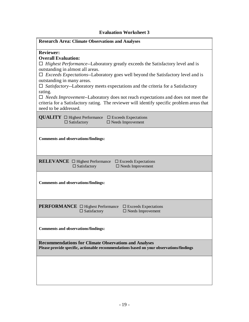#### **Evaluation Worksheet 3**

#### **Research Area: Climate Observations and Analyses**

#### **Reviewer:**

#### **Overall Evaluation:**

 *Highest Performance*--Laboratory greatly exceeds the Satisfactory level and is outstanding in almost all areas.

 *Exceeds Expectations*--Laboratory goes well beyond the Satisfactory level and is outstanding in many areas.

 *Satisfactory*--Laboratory meets expectations and the criteria for a Satisfactory rating.

 *Needs Improvement*--Laboratory does not reach expectations and does not meet the criteria for a Satisfactory rating. The reviewer will identify specific problem areas that need to be addressed.

| <b>QUALITY</b> $\Box$ Highest Performance<br>$\square$ Exceeds Expectations<br>$\Box$ Satisfactory<br>$\Box$ Needs Improvement                          |
|---------------------------------------------------------------------------------------------------------------------------------------------------------|
| <b>Comments and observations/findings:</b>                                                                                                              |
| <b>RELEVANCE</b> $\Box$ Highest Performance<br>$\square$ Exceeds Expectations<br>$\Box$ Satisfactory<br>$\square$ Needs Improvement                     |
| <b>Comments and observations/findings:</b>                                                                                                              |
| <b>PERFORMANCE</b> □ Highest Performance<br>$\square$ Exceeds Expectations<br>$\Box$ Satisfactory<br>$\Box$ Needs Improvement                           |
| <b>Comments and observations/findings:</b>                                                                                                              |
| <b>Recommendations for Climate Observations and Analyses</b><br>Please provide specific, actionable recommendations based on your observations/findings |
|                                                                                                                                                         |
|                                                                                                                                                         |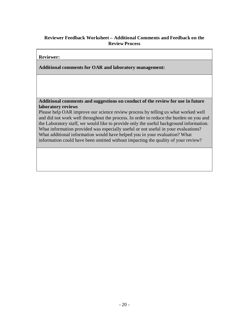## **Reviewer Feedback Worksheet – Additional Comments and Feedback on the Review Process**

#### **Reviewer:**

**Additional comments for OAR and laboratory management:**

**Additional comments and suggestions on conduct of the review for use in future laboratory reviews**

Please help OAR improve our science review process by telling us what worked well and did not work well throughout the process. In order to reduce the burden on you and the Laboratory staff, we would like to provide only the useful background information. What information provided was especially useful or not useful in your evaluations? What additional information would have helped you in your evaluation? What information could have been omitted without impacting the quality of your review?